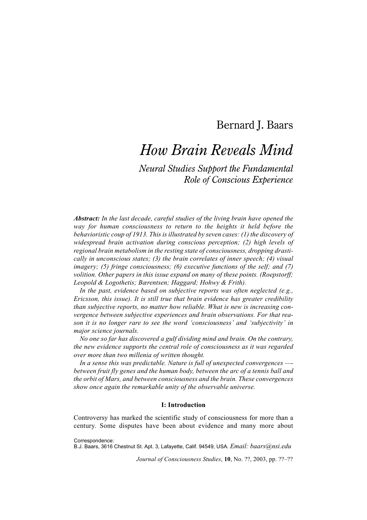# Bernard J. Baars

# *How Brain Reveals Mind*

*Neural Studies Support the Fundamental Role of Conscious Experience*

*Abstract: In the last decade, careful studies of the living brain have opened the way for human consciousness to return to the heights it held before the behavioristic coup of 1913. This is illustrated by seven cases: (1) the discovery of widespread brain activation during conscious perception; (2) high levels of regional brain metabolism in the resting state of consciousness, dropping drastically in unconscious states; (3) the brain correlates of inner speech; (4) visual imagery; (5) fringe consciousness; (6) executive functions of the self; and (7) volition. Other papers in this issue expand on many of these points. (Roepstorff; Leopold & Logothetis; Bærentsen; Haggard; Hohwy & Frith).*

*In the past, evidence based on subjective reports was often neglected (e.g., Ericsson, this issue). It is still true that brain evidence has greater credibility than subjective reports, no matter how reliable. What is new is increasing convergence between subjective experiences and brain observations. For that reason it is no longer rare to see the word 'consciousness' and 'subjectivity' in major science journals.*

*No one so far has discovered a gulf dividing mind and brain. On the contrary, the new evidence supports the central role of consciousness as it was regarded over more than two millenia of written thought.*

*In a sense this was predictable. Nature is full of unexpected convergences — between fruit fly genes and the human body, between the arc of a tennis ball and the orbit of Mars, and between consciousness and the brain. These convergences show once again the remarkable unity of the observable universe.*

#### **I: Introduction**

Controversy has marked the scientific study of consciousness for more than a century. Some disputes have been about evidence and many more about

Correspondence:

B.J. Baars, 3616 Chestnut St. Apt. 3, Lafayette, Calif. 94549, USA. *Email: baars@nsi.edu*

*Journal of Consciousness Studies*, **10**, No. ??, 2003, pp. ??–??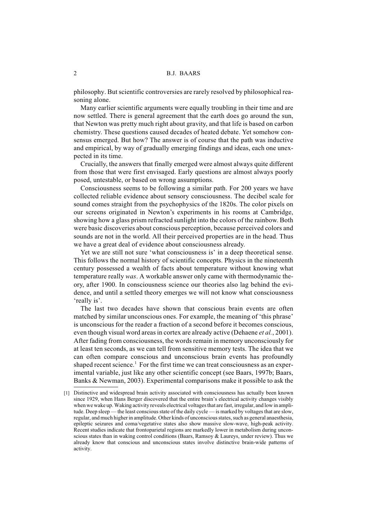philosophy. But scientific controversies are rarely resolved by philosophical reasoning alone.

Many earlier scientific arguments were equally troubling in their time and are now settled. There is general agreement that the earth does go around the sun, that Newton was pretty much right about gravity, and that life is based on carbon chemistry. These questions caused decades of heated debate. Yet somehow consensus emerged. But how? The answer is of course that the path was inductive and empirical, by way of gradually emerging findings and ideas, each one unexpected in its time.

Crucially, the answers that finally emerged were almost always quite different from those that were first envisaged. Early questions are almost always poorly posed, untestable, or based on wrong assumptions.

Consciousness seems to be following a similar path. For 200 years we have collected reliable evidence about sensory consciousness. The decibel scale for sound comes straight from the psychophysics of the 1820s. The color pixels on our screens originated in Newton's experiments in his rooms at Cambridge, showing how a glass prism refracted sunlight into the colors of the rainbow. Both were basic discoveries about conscious perception, because perceived colors and sounds are not in the world. All their perceived properties are in the head. Thus we have a great deal of evidence about consciousness already.

Yet we are still not sure 'what consciousness is' in a deep theoretical sense. This follows the normal history of scientific concepts. Physics in the nineteenth century possessed a wealth of facts about temperature without knowing what temperature really *was*. A workable answer only came with thermodynamic theory, after 1900. In consciousness science our theories also lag behind the evidence, and until a settled theory emerges we will not know what consciousness 'really is'.

The last two decades have shown that conscious brain events are often matched by similar unconscious ones. For example, the meaning of 'this phrase' is unconscious for the reader a fraction of a second before it becomes conscious, even though visual word areas in cortex are already active (Dehaene *et al.*, 2001). After fading from consciousness, the words remain in memory unconsciously for at least ten seconds, as we can tell from sensitive memory tests. The idea that we can often compare conscious and unconscious brain events has profoundly shaped recent science.<sup>1</sup> For the first time we can treat consciousness as an experimental variable, just like any other scientific concept (see Baars, 1997b; Baars, Banks & Newman, 2003). Experimental comparisons make it possible to ask the

<sup>[1]</sup> Distinctive and widespread brain activity associated with consciousness has actually been known since 1929, when Hans Berger discovered that the entire brain's electrical activity changes visibly when we wake up. Waking activity reveals electrical voltages that are fast, irregular, and low in amplitude. Deep sleep — the least conscious state of the daily cycle — is marked by voltages that are slow, regular, and much higher in amplitude. Other kinds of unconscious states, such as general anaesthesia, epileptic seizures and coma/vegetative states also show massive slow-wave, high-peak activity. Recent studies indicate that frontoparietal regions are markedly lower in metabolism during unconscious states than in waking control conditions (Baars, Ramsoy & Laureys, under review). Thus we already know that conscious and unconscious states involve distinctive brain-wide patterns of activity.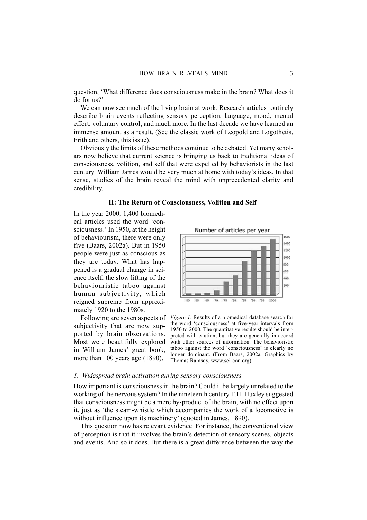question, 'What difference does consciousness make in the brain? What does it do for us?'

We can now see much of the living brain at work. Research articles routinely describe brain events reflecting sensory perception, language, mood, mental effort, voluntary control, and much more. In the last decade we have learned an immense amount as a result. (See the classic work of Leopold and Logothetis, Frith and others, this issue).

Obviously the limits of these methods continue to be debated. Yet many scholars now believe that current science is bringing us back to traditional ideas of consciousness, volition, and self that were expelled by behaviorists in the last century. William James would be very much at home with today's ideas. In that sense, studies of the brain reveal the mind with unprecedented clarity and credibility.

#### **II: The Return of Consciousness, Volition and Self**

In the year 2000, 1,400 biomedical articles used the word 'consciousness.' In 1950, at the height of behaviourism, there were only five (Baars, 2002a). But in 1950 people were just as conscious as they are today. What has happened is a gradual change in science itself: the slow lifting of the behaviouristic taboo against human subjectivity, which reigned supreme from approximately 1920 to the 1980s.

Following are seven aspects of subjectivity that are now supported by brain observations. Most were beautifully explored in William James' great book, more than 100 years ago (1890).



*Figure 1*. Results of a biomedical database search for the word 'consciousness' at five-year intervals from 1950 to 2000. The quantitative results should be interpreted with caution, but they are generally in accord with other sources of information. The behavioristic taboo against the word 'consciousness' is clearly no longer dominant. (From Baars, 2002a. Graphics by Thomas Ramsoy, www.sci-con.org).

#### *1. Widespread brain activation during sensory consciousness*

How important is consciousness in the brain? Could it be largely unrelated to the working of the nervous system? In the nineteenth century T.H. Huxley suggested that consciousness might be a mere by-product of the brain, with no effect upon it, just as 'the steam-whistle which accompanies the work of a locomotive is without influence upon its machinery' (quoted in James, 1890).

This question now has relevant evidence. For instance, the conventional view of perception is that it involves the brain's detection of sensory scenes, objects and events. And so it does. But there is a great difference between the way the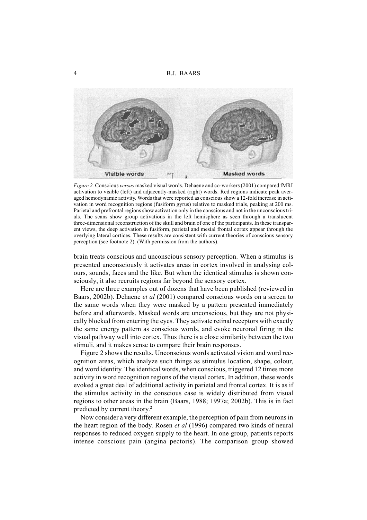

*Figure 2.* Conscious *versus* masked visual words. Dehaene and co-workers (2001) compared fMRI activation to visible (left) and adjacently-masked (right) words. Red regions indicate peak averaged hemodynamic activity. Words that were reported as conscious show a 12-fold increase in activation in word recognition regions (fusiform gyrus) relative to masked trials, peaking at 200 ms. Parietal and prefrontal regions show activation only in the conscious and not in the unconscious trials. The scans show group activations in the left hemisphere as seen through a translucent three-dimensional reconstruction of the skull and brain of one of the participants. In these transparent views, the deep activation in fusiform, parietal and mesial frontal cortex appear through the overlying lateral cortices. These results are consistent with current theories of conscious sensory perception (see footnote 2). (With permission from the authors).

brain treats conscious and unconscious sensory perception. When a stimulus is presented unconsciously it activates areas in cortex involved in analysing colours, sounds, faces and the like. But when the identical stimulus is shown consciously, it also recruits regions far beyond the sensory cortex.

Here are three examples out of dozens that have been published (reviewed in Baars, 2002b). Dehaene *et al* (2001) compared conscious words on a screen to the same words when they were masked by a pattern presented immediately before and afterwards. Masked words are unconscious, but they are not physically blocked from entering the eyes. They activate retinal receptors with exactly the same energy pattern as conscious words, and evoke neuronal firing in the visual pathway well into cortex. Thus there is a close similarity between the two stimuli, and it makes sense to compare their brain responses.

Figure 2 shows the results. Unconscious words activated vision and word recognition areas, which analyze such things as stimulus location, shape, colour, and word identity. The identical words, when conscious, triggered 12 times more activity in word recognition regions of the visual cortex. In addition, these words evoked a great deal of additional activity in parietal and frontal cortex. It is as if the stimulus activity in the conscious case is widely distributed from visual regions to other areas in the brain (Baars, 1988; 1997a; 2002b). This is in fact predicted by current theory.<sup>2</sup>

Now consider a very different example, the perception of pain from neurons in the heart region of the body. Rosen *et al* (1996) compared two kinds of neural responses to reduced oxygen supply to the heart. In one group, patients reports intense conscious pain (angina pectoris). The comparison group showed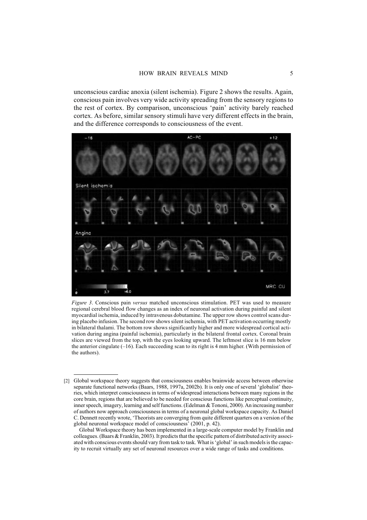unconscious cardiac anoxia (silent ischemia). Figure 2 shows the results. Again, conscious pain involves very wide activity spreading from the sensory regions to the rest of cortex. By comparison, unconscious 'pain' activity barely reached cortex. As before, similar sensory stimuli have very different effects in the brain, and the difference corresponds to consciousness of the event.



*Figure 3*. Conscious pain *versus* matched unconscious stimulation. PET was used to measure regional cerebral blood flow changes as an index of neuronal activation during painful and silent myocardial ischemia, induced by intravenous dobutamine. The upper row shows control scans during placebo infusion. The second row shows silent ischemia, with PET activation occurring mostly in bilateral thalami. The bottom row shows significantly higher and more widespread cortical activation during angina (painful ischemia), particularly in the bilateral frontal cortex. Coronal brain slices are viewed from the top, with the eyes looking upward. The leftmost slice is 16 mm below the anterior cingulate  $(-16)$ . Each succeeding scan to its right is 4 mm higher. (With permission of the authors).

<sup>[2]</sup> Global workspace theory suggests that consciousness enables brainwide access between otherwise separate functional networks (Baars, 1988, 1997a, 2002b). It is only one of several 'globalist' theories, which interpret consciousness in terms of widespread interactions between many regions in the core brain, regions that are believed to be needed for conscious functions like perceptual continuity, inner speech, imagery, learning and self functions. (Edelman & Tononi, 2000). An increasing number of authors now approach consciousness in terms of a neuronal global workspace capacity. As Daniel C. Dennett recently wrote, 'Theorists are converging from quite different quarters on a version of the global neuronal workspace model of consciousness' (2001, p. 42).

Global Workspace theory has been implemented in a large-scale computer model by Franklin and colleagues. (Baars & Franklin, 2003). It predicts that the specific pattern of distributed activity associated with conscious events should vary from task to task. What is 'global' in such models is the capacity to recruit virtually any set of neuronal resources over a wide range of tasks and conditions.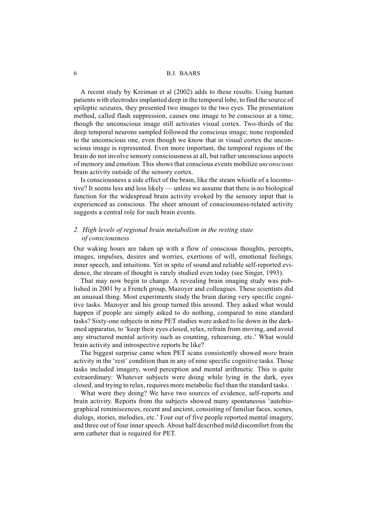#### 6 B.J. BAARS

A recent study by Kreiman et al (2002) adds to these results. Using human patients with electrodes implanted deep in the temporal lobe, to find the source of epileptic seizures, they presented two images to the two eyes. The presentation method, called flash suppression, causes one image to be conscious at a time, though the unconscious image still activates visual cortex. Two-thirds of the deep temporal neurons sampled followed the conscious image; none responded to the unconscious one, even though we know that in visual cortex the unconscious image is represented. Even more important, the temporal regions of the brain do not involve sensory consciousness at all, but rather unconscious aspects of memory and emotion. This shows that conscious events mobilize *unconscious* brain activity outside of the sensory cortex.

Is consciousness a side effect of the brain, like the steam whistle of a locomotive? It seems less and less likely — unless we assume that there is no biological function for the widespread brain activity evoked by the sensory input that is experienced as conscious. The sheer amount of consciousness-related activity suggests a central role for such brain events.

## *2. High levels of regional brain metabolism in the resting state of consciousness*

Our waking hours are taken up with a flow of conscious thoughts, percepts, images, impulses, desires and worries, exertions of will, emotional feelings, inner speech, and intuitions. Yet in spite of sound and reliable self-reported evidence, the stream of thought is rarely studied even today (see Singer, 1993).

That may now begin to change. A revealing brain imaging study was published in 2001 by a French group, Mazoyer and colleagues. These scientists did an unusual thing. Most experiments study the brain during very specific cognitive tasks. Mazoyer and his group turned this around. They asked what would happen if people are simply asked to do nothing, compared to nine standard tasks? Sixty-one subjects in nine PET studies were asked to lie down in the darkened apparatus, to 'keep their eyes closed, relax, refrain from moving, and avoid any structured mental activity such as counting, rehearsing, etc.' What would brain activity and introspective reports be like?

The biggest surprise came when PET scans consistently showed *more* brain activity in the 'rest' condition than in any of nine specific cognitive tasks. Those tasks included imagery, word perception and mental arithmetic. This is quite extraordinary: Whatever subjects were doing while lying in the dark, eyes closed, and trying to relax, requires more metabolic fuel than the standard tasks.

What were they doing? We have two sources of evidence, self-reports and brain activity. Reports from the subjects showed many spontaneous 'autobiographical reminiscences, recent and ancient, consisting of familiar faces, scenes, dialogs, stories, melodies, etc.' Four out of five people reported mental imagery, and three out of four inner speech. About half described mild discomfort from the arm catheter that is required for PET.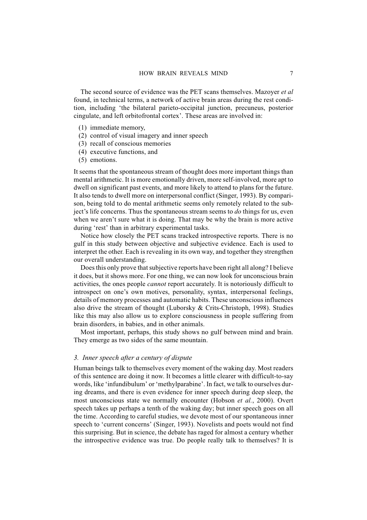The second source of evidence was the PET scans themselves. Mazoyer *et al* found, in technical terms, a network of active brain areas during the rest condition, including 'the bilateral parieto-occipital junction, precuneus, posterior cingulate, and left orbitofrontal cortex'. These areas are involved in:

- (1) immediate memory,
- (2) control of visual imagery and inner speech
- (3) recall of conscious memories
- (4) executive functions, and
- (5) emotions.

It seems that the spontaneous stream of thought does more important things than mental arithmetic. It is more emotionally driven, more self-involved, more apt to dwell on significant past events, and more likely to attend to plans for the future. It also tends to dwell more on interpersonal conflict (Singer, 1993). By comparison, being told to do mental arithmetic seems only remotely related to the subject's life concerns. Thus the spontaneous stream seems to *do* things for us, even when we aren't sure what it is doing. That may be why the brain is more active during 'rest' than in arbitrary experimental tasks.

Notice how closely the PET scans tracked introspective reports. There is no gulf in this study between objective and subjective evidence. Each is used to interpret the other. Each is revealing in its own way, and together they strengthen our overall understanding.

Does this only prove that subjective reports have been right all along? I believe it does, but it shows more. For one thing, we can now look for unconscious brain activities, the ones people *cannot* report accurately. It is notoriously difficult to introspect on one's own motives, personality, syntax, interpersonal feelings, details of memory processes and automatic habits. These unconscious influences also drive the stream of thought (Luborsky & Crits-Christoph, 1998). Studies like this may also allow us to explore consciousness in people suffering from brain disorders, in babies, and in other animals.

Most important, perhaps, this study shows no gulf between mind and brain. They emerge as two sides of the same mountain.

#### *3. Inner speech after a century of dispute*

Human beings talk to themselves every moment of the waking day. Most readers of this sentence are doing it now. It becomes a little clearer with difficult-to-say words, like 'infundibulum' or 'methylparabine'. In fact, we talk to ourselves during dreams, and there is even evidence for inner speech during deep sleep, the most unconscious state we normally encounter (Hobson *et al.*, 2000). Overt speech takes up perhaps a tenth of the waking day; but inner speech goes on all the time. According to careful studies, we devote most of our spontaneous inner speech to 'current concerns' (Singer, 1993). Novelists and poets would not find this surprising. But in science, the debate has raged for almost a century whether the introspective evidence was true. Do people really talk to themselves? It is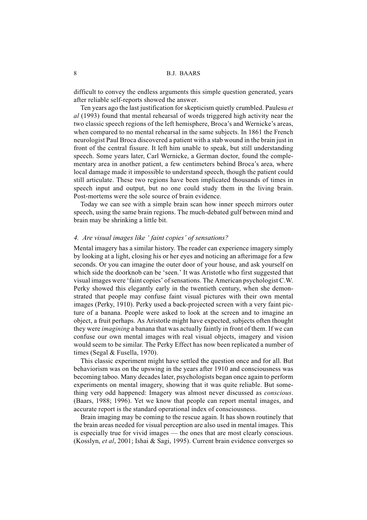difficult to convey the endless arguments this simple question generated, years after reliable self-reports showed the answer.

Ten years ago the last justification for skepticism quietly crumbled. Paulesu *et al* (1993) found that mental rehearsal of words triggered high activity near the two classic speech regions of the left hemisphere, Broca's and Wernicke's areas, when compared to no mental rehearsal in the same subjects. In 1861 the French neurologist Paul Broca discovered a patient with a stab wound in the brain just in front of the central fissure. It left him unable to speak, but still understanding speech. Some years later, Carl Wernicke, a German doctor, found the complementary area in another patient, a few centimeters behind Broca's area, where local damage made it impossible to understand speech, though the patient could still articulate. These two regions have been implicated thousands of times in speech input and output, but no one could study them in the living brain. Post-mortems were the sole source of brain evidence.

Today we can see with a simple brain scan how inner speech mirrors outer speech, using the same brain regions. The much-debated gulf between mind and brain may be shrinking a little bit.

#### *4. Are visual images like ' faint copies' of sensations?*

Mental imagery has a similar history. The reader can experience imagery simply by looking at a light, closing his or her eyes and noticing an afterimage for a few seconds. Or you can imagine the outer door of your house, and ask yourself on which side the doorknob can be 'seen.' It was Aristotle who first suggested that visual images were 'faint copies' of sensations. The American psychologist C.W. Perky showed this elegantly early in the twentieth century, when she demonstrated that people may confuse faint visual pictures with their own mental images (Perky, 1910). Perky used a back-projected screen with a very faint picture of a banana. People were asked to look at the screen and to imagine an object, a fruit perhaps. As Aristotle might have expected, subjects often thought they were *imagining* a banana that was actually faintly in front of them. If we can confuse our own mental images with real visual objects, imagery and vision would seem to be similar. The Perky Effect has now been replicated a number of times (Segal & Fusella, 1970).

This classic experiment might have settled the question once and for all. But behaviorism was on the upswing in the years after 1910 and consciousness was becoming taboo. Many decades later, psychologists began once again to perform experiments on mental imagery, showing that it was quite reliable. But something very odd happened: Imagery was almost never discussed as *conscious*. (Baars, 1988; 1996). Yet we know that people can report mental images, and accurate report is the standard operational index of consciousness.

Brain imaging may be coming to the rescue again. It has shown routinely that the brain areas needed for visual perception are also used in mental images. This is especially true for vivid images — the ones that are most clearly conscious. (Kosslyn, *et al*, 2001; Ishai & Sagi, 1995). Current brain evidence converges so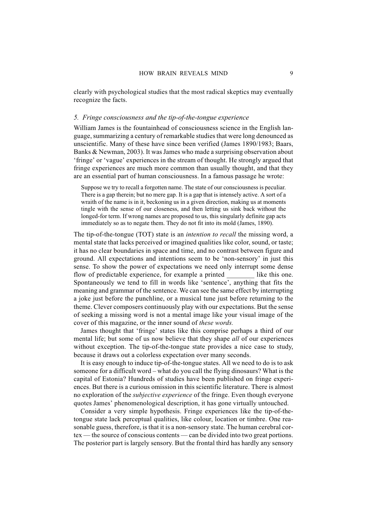clearly with psychological studies that the most radical skeptics may eventually recognize the facts.

#### *5. Fringe consciousness and the tip-of-the-tongue experience*

William James is the fountainhead of consciousness science in the English language, summarizing a century of remarkable studies that were long denounced as unscientific. Many of these have since been verified (James 1890/1983; Baars, Banks & Newman, 2003). It was James who made a surprising observation about 'fringe' or 'vague' experiences in the stream of thought. He strongly argued that fringe experiences are much more common than usually thought, and that they are an essential part of human consciousness. In a famous passage he wrote:

Suppose we try to recall a forgotten name. The state of our consciousness is peculiar. There is a gap therein; but no mere gap. It is a gap that is intensely active. A sort of a wraith of the name is in it, beckoning us in a given direction, making us at moments tingle with the sense of our closeness, and then letting us sink back without the longed-for term. If wrong names are proposed to us, this singularly definite gap acts immediately so as to negate them. They do not fit into its mold (James, 1890).

The tip-of-the-tongue (TOT) state is an *intention to recall* the missing word, a mental state that lacks perceived or imagined qualities like color, sound, or taste; it has no clear boundaries in space and time, and no contrast between figure and ground. All expectations and intentions seem to be 'non-sensory' in just this sense. To show the power of expectations we need only interrupt some dense flow of predictable experience, for example a printed like this one. Spontaneously we tend to fill in words like 'sentence', anything that fits the meaning and grammar of the sentence. We can see the same effect by interrupting a joke just before the punchline, or a musical tune just before returning to the theme. Clever composers continuously play with our expectations. But the sense of seeking a missing word is not a mental image like your visual image of the cover of this magazine, or the inner sound of *these words.*

James thought that 'fringe' states like this comprise perhaps a third of our mental life; but some of us now believe that they shape *all* of our experiences without exception. The tip-of-the-tongue state provides a nice case to study, because it draws out a colorless expectation over many seconds.

It is easy enough to induce tip-of-the-tongue states. All we need to do is to ask someone for a difficult word – what do you call the flying dinosaurs? What is the capital of Estonia? Hundreds of studies have been published on fringe experiences. But there is a curious omission in this scientific literature. There is almost no exploration of the *subjective experience* of the fringe. Even though everyone quotes James' phenomenological description, it has gone virtually untouched.

Consider a very simple hypothesis. Fringe experiences like the tip-of-thetongue state lack perceptual qualities, like colour, location or timbre. One reasonable guess, therefore, is that it is a non-sensory state. The human cerebral cortex — the source of conscious contents — can be divided into two great portions. The posterior part is largely sensory. But the frontal third has hardly any sensory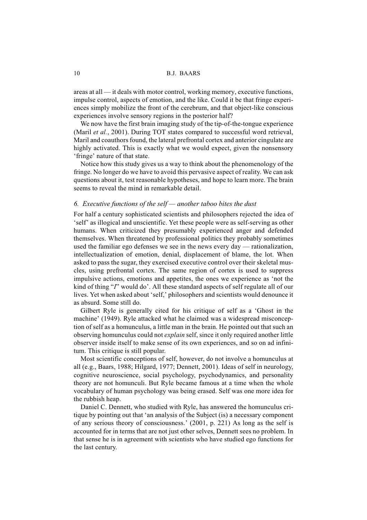#### 10 B.J. BAARS

areas at all — it deals with motor control, working memory, executive functions, impulse control, aspects of emotion, and the like. Could it be that fringe experiences simply mobilize the front of the cerebrum, and that object-like conscious experiences involve sensory regions in the posterior half?

We now have the first brain imaging study of the tip-of-the-tongue experience (Maril *et al.*, 2001). During TOT states compared to successful word retrieval, Maril and coauthors found, the lateral prefrontal cortex and anterior cingulate are highly activated. This is exactly what we would expect, given the nonsensory 'fringe' nature of that state.

Notice how this study gives us a way to think about the phenomenology of the fringe. No longer do we have to avoid this pervasive aspect of reality. We can ask questions about it, test reasonable hypotheses, and hope to learn more. The brain seems to reveal the mind in remarkable detail.

### *6. Executive functions of the self — another taboo bites the dust*

For half a century sophisticated scientists and philosophers rejected the idea of 'self' as illogical and unscientific. Yet these people were as self-serving as other humans. When criticized they presumably experienced anger and defended themselves. When threatened by professional politics they probably sometimes used the familiar ego defenses we see in the news every day — rationalization, intellectualization of emotion, denial, displacement of blame, the lot. When asked to pass the sugar, they exercised executive control over their skeletal muscles, using prefrontal cortex. The same region of cortex is used to suppress impulsive actions, emotions and appetites, the ones we experience as 'not the kind of thing "*I*" would do'. All these standard aspects of self regulate all of our lives. Yet when asked about 'self,' philosophers and scientists would denounce it as absurd. Some still do.

Gilbert Ryle is generally cited for his critique of self as a 'Ghost in the machine' (1949). Ryle attacked what he claimed was a widespread misconception of self as a homunculus, a little man in the brain. He pointed out that such an observing homunculus could not *explain* self, since it only required another little observer inside itself to make sense of its own experiences, and so on ad infinitum. This critique is still popular.

Most scientific conceptions of self, however, do not involve a homunculus at all (e.g., Baars, 1988; Hilgard, 1977; Dennett, 2001). Ideas of self in neurology, cognitive neuroscience, social psychology, psychodynamics, and personality theory are not homunculi. But Ryle became famous at a time when the whole vocabulary of human psychology was being erased. Self was one more idea for the rubbish heap.

Daniel C. Dennett, who studied with Ryle, has answered the homunculus critique by pointing out that 'an analysis of the Subject (is) a necessary component of any serious theory of consciousness.' (2001, p. 221) As long as the self is accounted for in terms that are not just other selves, Dennett sees no problem. In that sense he is in agreement with scientists who have studied ego functions for the last century.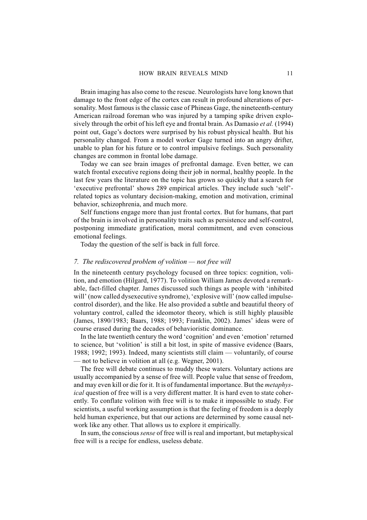Brain imaging has also come to the rescue. Neurologists have long known that damage to the front edge of the cortex can result in profound alterations of personality. Most famous is the classic case of Phineas Gage, the nineteenth-century American railroad foreman who was injured by a tamping spike driven explosively through the orbit of his left eye and frontal brain. As Damasio *et al.* (1994) point out, Gage's doctors were surprised by his robust physical health. But his personality changed. From a model worker Gage turned into an angry drifter, unable to plan for his future or to control impulsive feelings. Such personality changes are common in frontal lobe damage.

Today we can see brain images of prefrontal damage. Even better, we can watch frontal executive regions doing their job in normal, healthy people. In the last few years the literature on the topic has grown so quickly that a search for 'executive prefrontal' shows 289 empirical articles. They include such 'self' related topics as voluntary decision-making, emotion and motivation, criminal behavior, schizophrenia, and much more.

Self functions engage more than just frontal cortex. But for humans, that part of the brain is involved in personality traits such as persistence and self-control, postponing immediate gratification, moral commitment, and even conscious emotional feelings.

Today the question of the self is back in full force.

#### *7. The rediscovered problem of volition — not free will*

In the nineteenth century psychology focused on three topics: cognition, volition, and emotion (Hilgard, 1977). To volition William James devoted a remarkable, fact-filled chapter. James discussed such things as people with 'inhibited will' (now called dysexecutive syndrome), 'explosive will' (now called impulsecontrol disorder), and the like. He also provided a subtle and beautiful theory of voluntary control, called the ideomotor theory, which is still highly plausible (James, 1890/1983; Baars, 1988; 1993; Franklin, 2002). James' ideas were of course erased during the decades of behavioristic dominance.

In the late twentieth century the word 'cognition' and even 'emotion' returned to science, but 'volition' is still a bit lost, in spite of massive evidence (Baars, 1988; 1992; 1993). Indeed, many scientists still claim — voluntarily, of course — not to believe in volition at all (e.g. Wegner, 2001).

The free will debate continues to muddy these waters. Voluntary actions are usually accompanied by a sense of free will. People value that sense of freedom, and may even kill or die for it. It is of fundamental importance. But the *metaphysical* question of free will is a very different matter. It is hard even to state coherently. To conflate volition with free will is to make it impossible to study. For scientists, a useful working assumption is that the feeling of freedom is a deeply held human experience, but that our actions are determined by some causal network like any other. That allows us to explore it empirically.

In sum, the conscious *sense* of free will is real and important, but metaphysical free will is a recipe for endless, useless debate.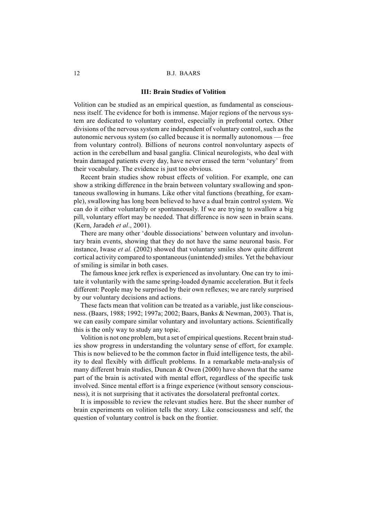#### **III: Brain Studies of Volition**

Volition can be studied as an empirical question, as fundamental as consciousness itself. The evidence for both is immense. Major regions of the nervous system are dedicated to voluntary control, especially in prefrontal cortex. Other divisions of the nervous system are independent of voluntary control, such as the autonomic nervous system (so called because it is normally autonomous — free from voluntary control). Billions of neurons control nonvoluntary aspects of action in the cerebellum and basal ganglia. Clinical neurologists, who deal with brain damaged patients every day, have never erased the term 'voluntary' from their vocabulary. The evidence is just too obvious.

Recent brain studies show robust effects of volition. For example, one can show a striking difference in the brain between voluntary swallowing and spontaneous swallowing in humans. Like other vital functions (breathing, for example), swallowing has long been believed to have a dual brain control system. We can do it either voluntarily or spontaneously. If we are trying to swallow a big pill, voluntary effort may be needed. That difference is now seen in brain scans. (Kern, Jaradeh *et al*., 2001).

There are many other 'double dissociations' between voluntary and involuntary brain events, showing that they do not have the same neuronal basis. For instance, Iwase *et al.* (2002) showed that voluntary smiles show quite different cortical activity compared to spontaneous (unintended) smiles. Yet the behaviour of smiling is similar in both cases.

The famous knee jerk reflex is experienced as involuntary. One can try to imitate it voluntarily with the same spring-loaded dynamic acceleration. But it feels different: People may be surprised by their own reflexes; we are rarely surprised by our voluntary decisions and actions.

These facts mean that volition can be treated as a variable, just like consciousness. (Baars, 1988; 1992; 1997a; 2002; Baars, Banks & Newman, 2003). That is, we can easily compare similar voluntary and involuntary actions. Scientifically this is the only way to study any topic.

Volition is not one problem, but a set of empirical questions. Recent brain studies show progress in understanding the voluntary sense of effort, for example. This is now believed to be the common factor in fluid intelligence tests, the ability to deal flexibly with difficult problems. In a remarkable meta-analysis of many different brain studies, Duncan  $&$  Owen (2000) have shown that the same part of the brain is activated with mental effort, regardless of the specific task involved. Since mental effort is a fringe experience (without sensory consciousness), it is not surprising that it activates the dorsolateral prefrontal cortex.

It is impossible to review the relevant studies here. But the sheer number of brain experiments on volition tells the story. Like consciousness and self, the question of voluntary control is back on the frontier.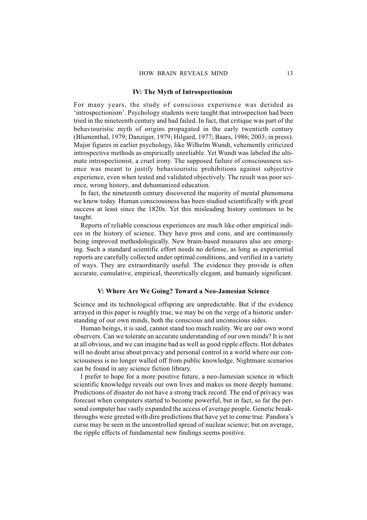#### **IV: The Myth of Introspectionism**

For many years, the study of conscious experience was derided as 'introspectionism'. Psychology students were taught that introspection had been tried in the nineteenth century and had failed. In fact, that critique was part of the behaviouristic myth of origins propagated in the early twentieth century (Blumenthal, 1979; Danziger, 1979; Hilgard, 1977; Baars, 1986; 2003; in press). Major figures in earlier psychology, like Wilhelm Wundt, vehemently criticized introspective methods as empirically unreliable. Yet Wundt was labeled the ultimate introspectionist, a cruel irony. The supposed failure of consciousness science was meant to justify behaviouristic prohibitions against subjective experience, even when tested and validated objectively. The result was poor science, wrong history, and dehumanized education.

In fact, the nineteenth century discovered the majority of mental phenomena we know today. Human consciousness has been studied scientifically with great success at least since the 1820s. Yet this misleading history continues to be taught.

Reports of reliable conscious experiences are much like other empirical indices in the history of science. They have pros and cons, and are continuously being improved methodologically. New brain-based measures also are emerging. Such a standard scientific effort needs no defense, as long as experiential reports are carefully collected under optimal conditions, and verified in a variety of ways. They are extraordinarily useful. The evidence they provide is often accurate, cumulative, empirical, theoretically elegant, and humanly significant.

#### **V: Where Are We Going? Toward a Neo-Jamesian Science**

Science and its technological offspring are unpredictable. But if the evidence arrayed in this paper is roughly true, we may be on the verge of a historic understanding of our own minds, both the conscious and unconscious sides.

Human beings, it is said, cannot stand too much reality. We are our own worst observers. Can we tolerate an accurate understanding of our own minds? It is not at all obvious, and we can imagine bad as well as good ripple effects. Hot debates will no doubt arise about privacy and personal control in a world where our consciousness is no longer walled off from public knowledge. Nightmare scenarios can be found in any science fiction library.

I prefer to hope for a more positive future, a neo-Jamesian science in which scientific knowledge reveals our own lives and makes us more deeply humane. Predictions of disaster do not have a strong track record. The end of privacy was forecast when computers started to become powerful, but in fact, so far the personal computer has vastly expanded the access of average people. Genetic breakthroughs were greeted with dire predictions that have yet to come true. Pandora's curse may be seen in the uncontrolled spread of nuclear science; but on average, the ripple effects of fundamental new findings seems positive.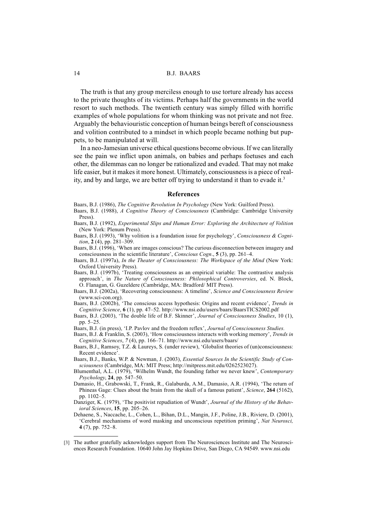#### 14 B.J. BAARS

The truth is that any group merciless enough to use torture already has access to the private thoughts of its victims. Perhaps half the governments in the world resort to such methods. The twentieth century was simply filled with horrific examples of whole populations for whom thinking was not private and not free. Arguably the behaviouristic conception of human beings bereft of consciousness and volition contributed to a mindset in which people became nothing but puppets, to be manipulated at will.

In a neo-Jamesian universe ethical questions become obvious. If we can literally see the pain we inflict upon animals, on babies and perhaps foetuses and each other, the dilemmas can no longer be rationalized and evaded. That may not make life easier, but it makes it more honest. Ultimately, consciousness is a piece of reality, and by and large, we are better off trying to understand it than to evade it.<sup>3</sup>

#### **References**

- Baars, B.J. (1986), *The Cognitive Revolution In Psychology* (New York: Guilford Press).
- Baars, B.J. (1988), *A Cognitive Theory of Consciousness* (Cambridge: Cambridge University Press).
- Baars, B.J. (1992), *Experimental Slips and Human Error: Exploring the Architecture of Volition* (New York: Plenum Press).
- Baars, B.J. (1993), 'Why volition is a foundation issue for psychology', *Consciousness & Cognition*, **2** (4), pp. 281–309.
- Baars, B.J. (1996), 'When are images conscious? The curious disconnection between imagery and consciousness in the scientific literature', *Conscious Cogn*., **5** (3), pp. 261–4.
- Baars, B.J. (1997a), *In the Theater of Consciousness: The Workspace of the Mind* (New York: Oxford University Press).
- Baars, B.J. (1997b), 'Treating consciousness as an empirical variable: The contrastive analysis approach', in *The Nature of Consciousness: Philosophical Controversies*, ed. N. Block, O. Flanagan, G. Guzeldere (Cambridge, MA: Bradford/ MIT Press).
- Baars, B.J. (2002a), 'Recovering consciousness: A timeline', *Science and Consciousness Review* (www.sci-con.org).
- Baars, B.J. (2002b), 'The conscious access hypothesis: Origins and recent evidence', *Trends in Cognitive Science*, **6** (1), pp. 47–52. http://www.nsi.edu/users/baars/BaarsTICS2002.pdf
- Baars, B.J. (2003), 'The double life of B.F. Skinner', *Journal of Consciousness Studies*, 10 (1), pp. 5–25.
- Baars, B.J. (in press), 'I.P. Pavlov and the freedom reflex', *Journal of Consciousness Studies.*
- Baars, B.J. & Franklin, S. (2003), 'How consciousness interacts with working memory', *Trends in Cognitive Sciences*, *7* (4), pp. 166–71. http://www.nsi.edu/users/baars/
- Baars, B.J., Ramsoy, T.Z. & Laureys, S. (under review), 'Globalist theories of (un)consciousness: Recent evidence'.
- Baars, B.J., Banks, W.P. & Newman, J. (2003), *Essential Sources In the Scientific Study of Consciousness* (Cambridge, MA: MIT Press; http://mitpress.mit.edu/0262523027).
- Blumenthal, A.L. (1979), 'Wilhelm Wundt, the founding father we never knew', *Contemporary Psychology*, **24**, pp. 547–50.
- Damasio, H., Grabowski, T., Frank, R., Galaburda, A.M., Damasio, A.R. (1994), 'The return of Phineas Gage: Clues about the brain from the skull of a famous patient', *Science*, **264** (5162), pp. 1102–5.
- Danziger, K. (1979), 'The positivist repudiation of Wundt', *Journal of the History of the Behavioral Sciences*, **15**, pp. 205–26.
- Dehaene, S., Naccache, L., Cohen, L., Bihan, D.L., Mangin, J.F., Poline, J.B., Riviere, D. (2001), 'Cerebral mechanisms of word masking and unconscious repetition priming', *Nat Neurosci,* **4** (7), pp. 752–8.
- [3] The author gratefully acknowledges support from The Neurosciences Institute and The Neurosciences Research Foundation. 10640 John Jay Hopkins Drive, San Diego, CA 94549. www.nsi.edu